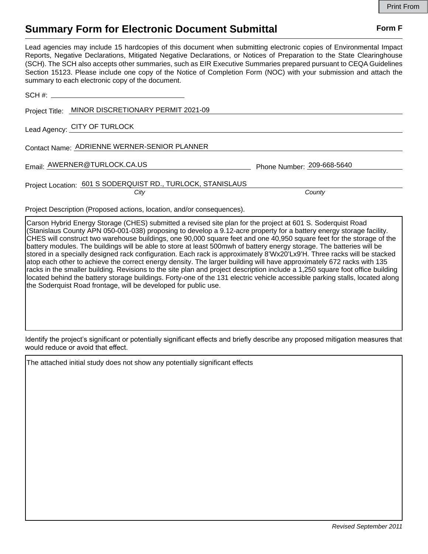## **Summary Form for Electronic Document Submittal Form F Form F**

Lead agencies may include 15 hardcopies of this document when submitting electronic copies of Environmental Impact Reports, Negative Declarations, Mitigated Negative Declarations, or Notices of Preparation to the State Clearinghouse (SCH). The SCH also accepts other summaries, such as EIR Executive Summaries prepared pursuant to CEQA Guidelines Section 15123. Please include one copy of the Notice of Completion Form (NOC) with your submission and attach the summary to each electronic copy of the document. SCH #:

| Project Title: MINOR DISCRETIONARY PERMIT 2021-09 |
|---------------------------------------------------|
|                                                   |

Lead Agency: CITY OF TURLOCK

Contact Name: ADRIENNE WERNER-SENIOR PLANNER

Email: Phone Number: AWERNER@TURLOCK.CA.US 209-668-5640

## Project Location: 601 S SODERQUIST RD., TURLOCK, STANISLAUS

*City County*

Project Description (Proposed actions, location, and/or consequences).

Carson Hybrid Energy Storage (CHES) submitted a revised site plan for the project at 601 S. Soderquist Road (Stanislaus County APN 050-001-038) proposing to develop a 9.12-acre property for a battery energy storage facility. CHES will construct two warehouse buildings, one 90,000 square feet and one 40,950 square feet for the storage of the battery modules. The buildings will be able to store at least 500mwh of battery energy storage. The batteries will be stored in a specially designed rack configuration. Each rack is approximately 8'Wx20'Lx9'H. Three racks will be stacked atop each other to achieve the correct energy density. The larger building will have approximately 672 racks with 135 racks in the smaller building. Revisions to the site plan and project description include a 1,250 square foot office building located behind the battery storage buildings. Forty-one of the 131 electric vehicle accessible parking stalls, located along the Soderquist Road frontage, will be developed for public use.

Identify the project's significant or potentially significant effects and briefly describe any proposed mitigation measures that would reduce or avoid that effect.

The attached initial study does not show any potentially significant effects